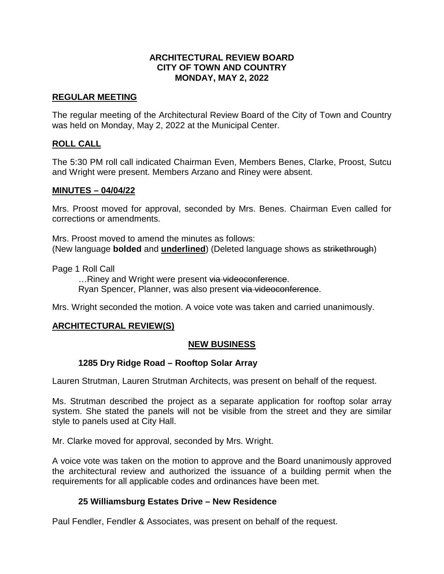# **ARCHITECTURAL REVIEW BOARD CITY OF TOWN AND COUNTRY MONDAY, MAY 2, 2022**

#### **REGULAR MEETING**

The regular meeting of the Architectural Review Board of the City of Town and Country was held on Monday, May 2, 2022 at the Municipal Center.

#### **ROLL CALL**

The 5:30 PM roll call indicated Chairman Even, Members Benes, Clarke, Proost, Sutcu and Wright were present. Members Arzano and Riney were absent.

#### **MINUTES – 04/04/22**

Mrs. Proost moved for approval, seconded by Mrs. Benes. Chairman Even called for corrections or amendments.

Mrs. Proost moved to amend the minutes as follows: (New language **bolded** and **underlined**) (Deleted language shows as strikethrough)

Page 1 Roll Call

...Riney and Wright were present via videoconference. Ryan Spencer, Planner, was also present via videoconference.

Mrs. Wright seconded the motion. A voice vote was taken and carried unanimously.

## **ARCHITECTURAL REVIEW(S)**

## **NEW BUSINESS**

## **1285 Dry Ridge Road – Rooftop Solar Array**

Lauren Strutman, Lauren Strutman Architects, was present on behalf of the request.

Ms. Strutman described the project as a separate application for rooftop solar array system. She stated the panels will not be visible from the street and they are similar style to panels used at City Hall.

Mr. Clarke moved for approval, seconded by Mrs. Wright.

A voice vote was taken on the motion to approve and the Board unanimously approved the architectural review and authorized the issuance of a building permit when the requirements for all applicable codes and ordinances have been met.

## **25 Williamsburg Estates Drive – New Residence**

Paul Fendler, Fendler & Associates, was present on behalf of the request.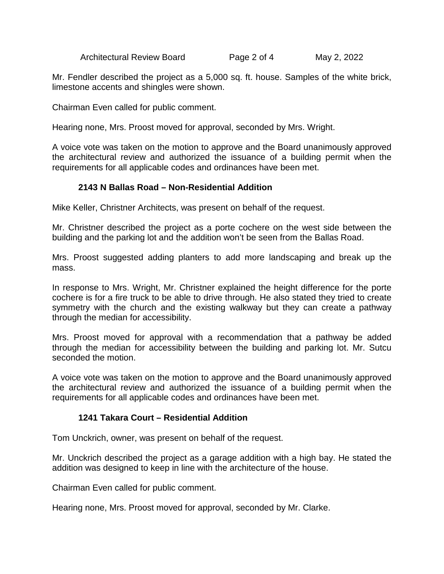Architectural Review Board Page 2 of 4 May 2, 2022

Mr. Fendler described the project as a 5,000 sq. ft. house. Samples of the white brick, limestone accents and shingles were shown.

Chairman Even called for public comment.

Hearing none, Mrs. Proost moved for approval, seconded by Mrs. Wright.

A voice vote was taken on the motion to approve and the Board unanimously approved the architectural review and authorized the issuance of a building permit when the requirements for all applicable codes and ordinances have been met.

## **2143 N Ballas Road – Non-Residential Addition**

Mike Keller, Christner Architects, was present on behalf of the request.

Mr. Christner described the project as a porte cochere on the west side between the building and the parking lot and the addition won't be seen from the Ballas Road.

Mrs. Proost suggested adding planters to add more landscaping and break up the mass.

In response to Mrs. Wright, Mr. Christner explained the height difference for the porte cochere is for a fire truck to be able to drive through. He also stated they tried to create symmetry with the church and the existing walkway but they can create a pathway through the median for accessibility.

Mrs. Proost moved for approval with a recommendation that a pathway be added through the median for accessibility between the building and parking lot. Mr. Sutcu seconded the motion.

A voice vote was taken on the motion to approve and the Board unanimously approved the architectural review and authorized the issuance of a building permit when the requirements for all applicable codes and ordinances have been met.

## **1241 Takara Court – Residential Addition**

Tom Unckrich, owner, was present on behalf of the request.

Mr. Unckrich described the project as a garage addition with a high bay. He stated the addition was designed to keep in line with the architecture of the house.

Chairman Even called for public comment.

Hearing none, Mrs. Proost moved for approval, seconded by Mr. Clarke.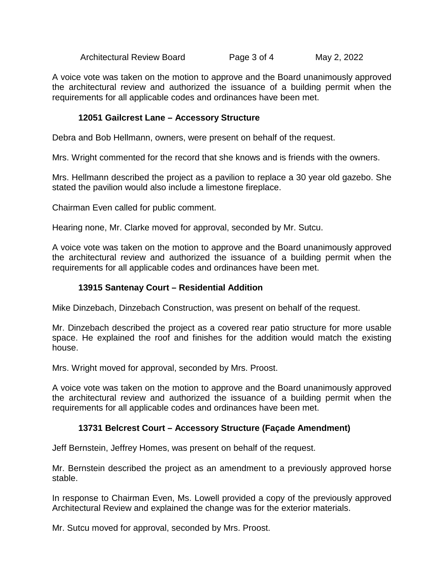Architectural Review Board Page 3 of 4 May 2, 2022

A voice vote was taken on the motion to approve and the Board unanimously approved the architectural review and authorized the issuance of a building permit when the requirements for all applicable codes and ordinances have been met.

## **12051 Gailcrest Lane – Accessory Structure**

Debra and Bob Hellmann, owners, were present on behalf of the request.

Mrs. Wright commented for the record that she knows and is friends with the owners.

Mrs. Hellmann described the project as a pavilion to replace a 30 year old gazebo. She stated the pavilion would also include a limestone fireplace.

Chairman Even called for public comment.

Hearing none, Mr. Clarke moved for approval, seconded by Mr. Sutcu.

A voice vote was taken on the motion to approve and the Board unanimously approved the architectural review and authorized the issuance of a building permit when the requirements for all applicable codes and ordinances have been met.

#### **13915 Santenay Court – Residential Addition**

Mike Dinzebach, Dinzebach Construction, was present on behalf of the request.

Mr. Dinzebach described the project as a covered rear patio structure for more usable space. He explained the roof and finishes for the addition would match the existing house.

Mrs. Wright moved for approval, seconded by Mrs. Proost.

A voice vote was taken on the motion to approve and the Board unanimously approved the architectural review and authorized the issuance of a building permit when the requirements for all applicable codes and ordinances have been met.

## **13731 Belcrest Court – Accessory Structure (Façade Amendment)**

Jeff Bernstein, Jeffrey Homes, was present on behalf of the request.

Mr. Bernstein described the project as an amendment to a previously approved horse stable.

In response to Chairman Even, Ms. Lowell provided a copy of the previously approved Architectural Review and explained the change was for the exterior materials.

Mr. Sutcu moved for approval, seconded by Mrs. Proost.